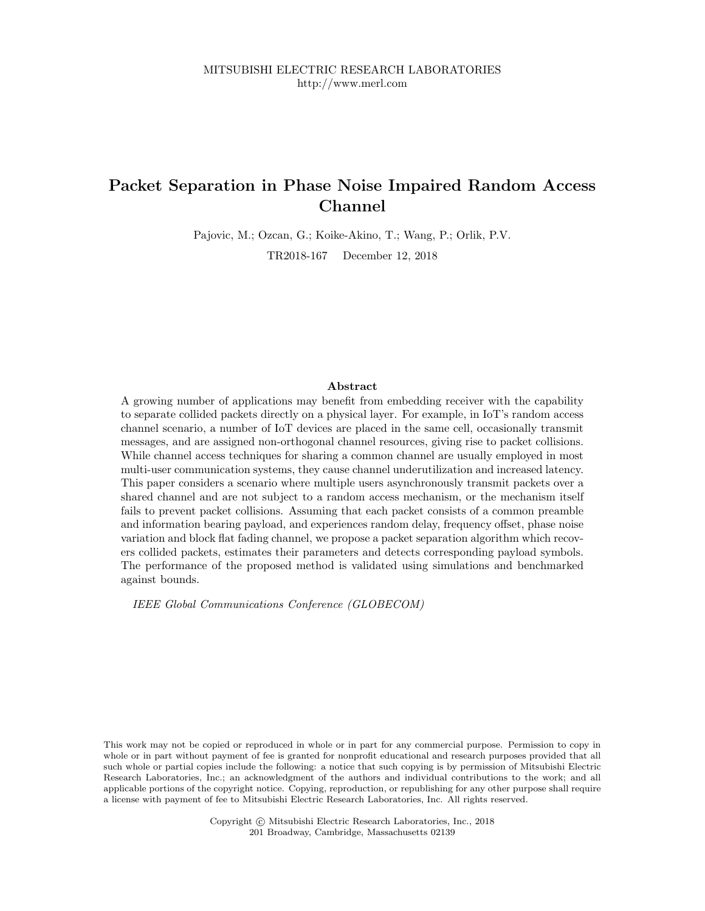# Packet Separation in Phase Noise Impaired Random Access Channel

Pajovic, M.; Ozcan, G.; Koike-Akino, T.; Wang, P.; Orlik, P.V.

TR2018-167 December 12, 2018

# Abstract

A growing number of applications may benefit from embedding receiver with the capability to separate collided packets directly on a physical layer. For example, in IoT's random access channel scenario, a number of IoT devices are placed in the same cell, occasionally transmit messages, and are assigned non-orthogonal channel resources, giving rise to packet collisions. While channel access techniques for sharing a common channel are usually employed in most multi-user communication systems, they cause channel underutilization and increased latency. This paper considers a scenario where multiple users asynchronously transmit packets over a shared channel and are not subject to a random access mechanism, or the mechanism itself fails to prevent packet collisions. Assuming that each packet consists of a common preamble and information bearing payload, and experiences random delay, frequency offset, phase noise variation and block flat fading channel, we propose a packet separation algorithm which recovers collided packets, estimates their parameters and detects corresponding payload symbols. The performance of the proposed method is validated using simulations and benchmarked against bounds.

IEEE Global Communications Conference (GLOBECOM)

This work may not be copied or reproduced in whole or in part for any commercial purpose. Permission to copy in whole or in part without payment of fee is granted for nonprofit educational and research purposes provided that all such whole or partial copies include the following: a notice that such copying is by permission of Mitsubishi Electric Research Laboratories, Inc.; an acknowledgment of the authors and individual contributions to the work; and all applicable portions of the copyright notice. Copying, reproduction, or republishing for any other purpose shall require a license with payment of fee to Mitsubishi Electric Research Laboratories, Inc. All rights reserved.

> Copyright © Mitsubishi Electric Research Laboratories, Inc., 2018 201 Broadway, Cambridge, Massachusetts 02139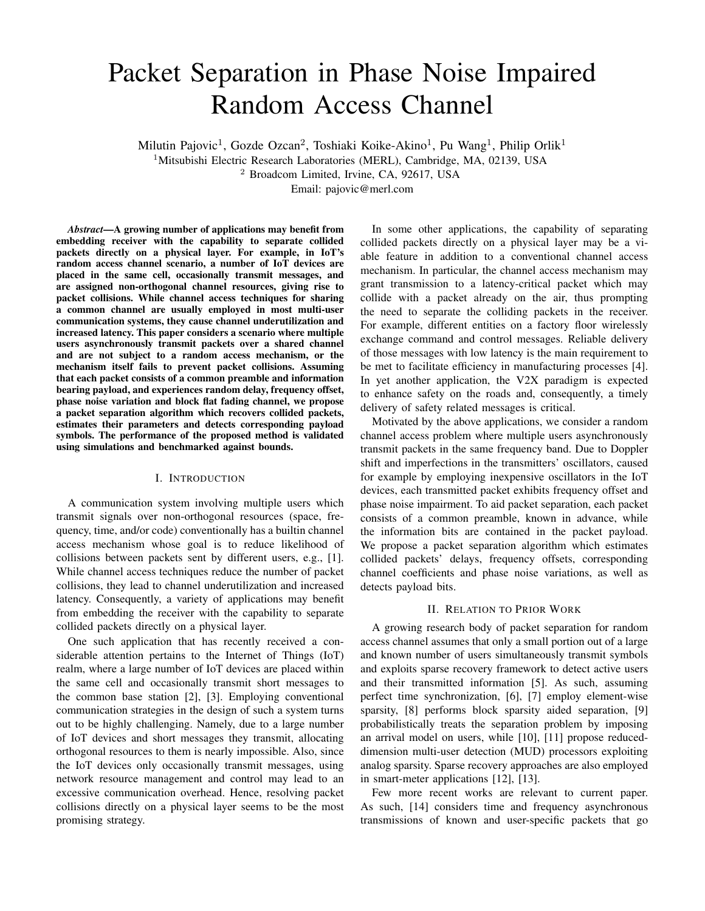# Packet Separation in Phase Noise Impaired Random Access Channel

Milutin Pajovic<sup>1</sup>, Gozde Ozcan<sup>2</sup>, Toshiaki Koike-Akino<sup>1</sup>, Pu Wang<sup>1</sup>, Philip Orlik<sup>1</sup>

<sup>1</sup>Mitsubishi Electric Research Laboratories (MERL), Cambridge, MA, 02139, USA

<sup>2</sup> Broadcom Limited, Irvine, CA, 92617, USA

Email: pajovic@merl.com

*Abstract*—A growing number of applications may benefit from embedding receiver with the capability to separate collided packets directly on a physical layer. For example, in IoT's random access channel scenario, a number of IoT devices are placed in the same cell, occasionally transmit messages, and are assigned non-orthogonal channel resources, giving rise to packet collisions. While channel access techniques for sharing a common channel are usually employed in most multi-user communication systems, they cause channel underutilization and increased latency. This paper considers a scenario where multiple users asynchronously transmit packets over a shared channel and are not subject to a random access mechanism, or the mechanism itself fails to prevent packet collisions. Assuming that each packet consists of a common preamble and information bearing payload, and experiences random delay, frequency offset, phase noise variation and block flat fading channel, we propose a packet separation algorithm which recovers collided packets, estimates their parameters and detects corresponding payload symbols. The performance of the proposed method is validated using simulations and benchmarked against bounds.

# I. INTRODUCTION

A communication system involving multiple users which transmit signals over non-orthogonal resources (space, frequency, time, and/or code) conventionally has a builtin channel access mechanism whose goal is to reduce likelihood of collisions between packets sent by different users, e.g., [1]. While channel access techniques reduce the number of packet collisions, they lead to channel underutilization and increased latency. Consequently, a variety of applications may benefit from embedding the receiver with the capability to separate collided packets directly on a physical layer.

One such application that has recently received a considerable attention pertains to the Internet of Things (IoT) realm, where a large number of IoT devices are placed within the same cell and occasionally transmit short messages to the common base station [2], [3]. Employing conventional communication strategies in the design of such a system turns out to be highly challenging. Namely, due to a large number of IoT devices and short messages they transmit, allocating orthogonal resources to them is nearly impossible. Also, since the IoT devices only occasionally transmit messages, using network resource management and control may lead to an excessive communication overhead. Hence, resolving packet collisions directly on a physical layer seems to be the most promising strategy.

In some other applications, the capability of separating collided packets directly on a physical layer may be a viable feature in addition to a conventional channel access mechanism. In particular, the channel access mechanism may grant transmission to a latency-critical packet which may collide with a packet already on the air, thus prompting the need to separate the colliding packets in the receiver. For example, different entities on a factory floor wirelessly exchange command and control messages. Reliable delivery of those messages with low latency is the main requirement to be met to facilitate efficiency in manufacturing processes [4]. In yet another application, the V2X paradigm is expected to enhance safety on the roads and, consequently, a timely delivery of safety related messages is critical.

Motivated by the above applications, we consider a random channel access problem where multiple users asynchronously transmit packets in the same frequency band. Due to Doppler shift and imperfections in the transmitters' oscillators, caused for example by employing inexpensive oscillators in the IoT devices, each transmitted packet exhibits frequency offset and phase noise impairment. To aid packet separation, each packet consists of a common preamble, known in advance, while the information bits are contained in the packet payload. We propose a packet separation algorithm which estimates collided packets' delays, frequency offsets, corresponding channel coefficients and phase noise variations, as well as detects payload bits.

## II. RELATION TO PRIOR WORK

A growing research body of packet separation for random access channel assumes that only a small portion out of a large and known number of users simultaneously transmit symbols and exploits sparse recovery framework to detect active users and their transmitted information [5]. As such, assuming perfect time synchronization, [6], [7] employ element-wise sparsity, [8] performs block sparsity aided separation, [9] probabilistically treats the separation problem by imposing an arrival model on users, while [10], [11] propose reduceddimension multi-user detection (MUD) processors exploiting analog sparsity. Sparse recovery approaches are also employed in smart-meter applications [12], [13].

Few more recent works are relevant to current paper. As such, [14] considers time and frequency asynchronous transmissions of known and user-specific packets that go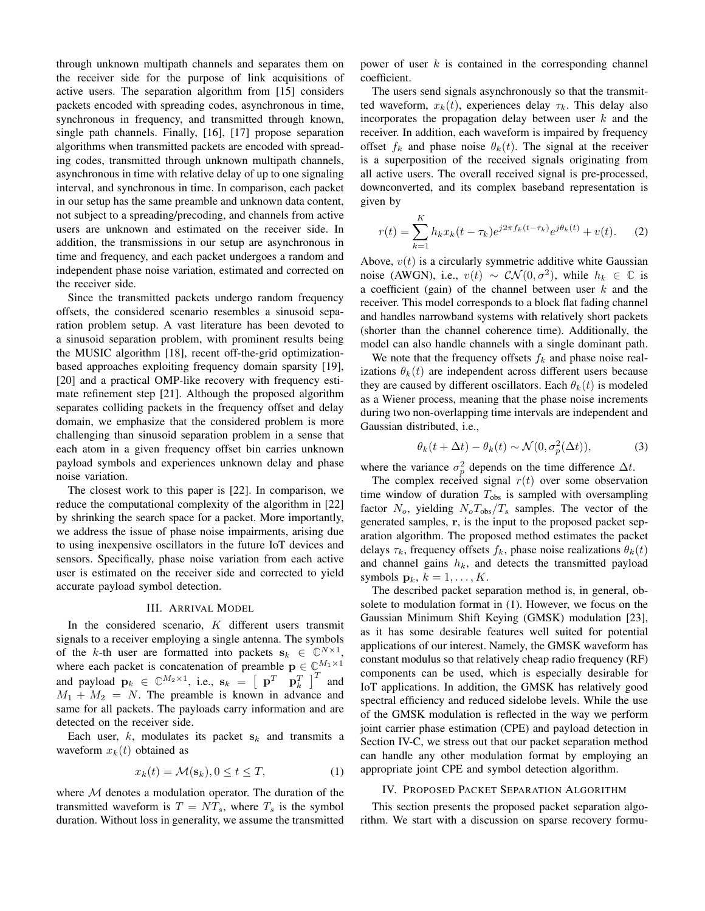through unknown multipath channels and separates them on the receiver side for the purpose of link acquisitions of active users. The separation algorithm from [15] considers packets encoded with spreading codes, asynchronous in time, synchronous in frequency, and transmitted through known, single path channels. Finally, [16], [17] propose separation algorithms when transmitted packets are encoded with spreading codes, transmitted through unknown multipath channels, asynchronous in time with relative delay of up to one signaling interval, and synchronous in time. In comparison, each packet in our setup has the same preamble and unknown data content, not subject to a spreading/precoding, and channels from active users are unknown and estimated on the receiver side. In addition, the transmissions in our setup are asynchronous in time and frequency, and each packet undergoes a random and independent phase noise variation, estimated and corrected on the receiver side.

Since the transmitted packets undergo random frequency offsets, the considered scenario resembles a sinusoid separation problem setup. A vast literature has been devoted to a sinusoid separation problem, with prominent results being the MUSIC algorithm [18], recent off-the-grid optimizationbased approaches exploiting frequency domain sparsity [19], [20] and a practical OMP-like recovery with frequency estimate refinement step [21]. Although the proposed algorithm separates colliding packets in the frequency offset and delay domain, we emphasize that the considered problem is more challenging than sinusoid separation problem in a sense that each atom in a given frequency offset bin carries unknown payload symbols and experiences unknown delay and phase noise variation.

The closest work to this paper is [22]. In comparison, we reduce the computational complexity of the algorithm in [22] by shrinking the search space for a packet. More importantly, we address the issue of phase noise impairments, arising due to using inexpensive oscillators in the future IoT devices and sensors. Specifically, phase noise variation from each active user is estimated on the receiver side and corrected to yield accurate payload symbol detection.

#### III. ARRIVAL MODEL

In the considered scenario,  $K$  different users transmit signals to a receiver employing a single antenna. The symbols of the k-th user are formatted into packets  $\mathbf{s}_k \in \mathbb{C}^{N \times 1}$ , where each packet is concatenation of preamble  $\mathbf{p} \in \mathbb{C}^{M_1 \times 1}$ and payload  $\mathbf{p}_k \in \mathbb{C}^{M_2 \times 1}$ , i.e.,  $\mathbf{s}_k = \begin{bmatrix} \mathbf{p}^T & \mathbf{p}_k^T \end{bmatrix}^T$  and  $M_1 + M_2 = N$ . The preamble is known in advance and same for all packets. The payloads carry information and are detected on the receiver side.

Each user,  $k$ , modulates its packet  $s_k$  and transmits a waveform  $x_k(t)$  obtained as

$$
x_k(t) = \mathcal{M}(\mathbf{s}_k), 0 \le t \le T,\tag{1}
$$

where  $M$  denotes a modulation operator. The duration of the transmitted waveform is  $T = NT_s$ , where  $T_s$  is the symbol duration. Without loss in generality, we assume the transmitted power of user  $k$  is contained in the corresponding channel coefficient.

The users send signals asynchronously so that the transmitted waveform,  $x_k(t)$ , experiences delay  $\tau_k$ . This delay also incorporates the propagation delay between user  $k$  and the receiver. In addition, each waveform is impaired by frequency offset  $f_k$  and phase noise  $\theta_k(t)$ . The signal at the receiver is a superposition of the received signals originating from all active users. The overall received signal is pre-processed, downconverted, and its complex baseband representation is given by

$$
r(t) = \sum_{k=1}^{K} h_k x_k (t - \tau_k) e^{j2\pi f_k (t - \tau_k)} e^{j\theta_k (t)} + v(t).
$$
 (2)

Above,  $v(t)$  is a circularly symmetric additive white Gaussian noise (AWGN), i.e.,  $v(t) \sim \mathcal{CN}(0, \sigma^2)$ , while  $h_k \in \mathbb{C}$  is a coefficient (gain) of the channel between user  $k$  and the receiver. This model corresponds to a block flat fading channel and handles narrowband systems with relatively short packets (shorter than the channel coherence time). Additionally, the model can also handle channels with a single dominant path.

We note that the frequency offsets  $f_k$  and phase noise realizations  $\theta_k(t)$  are independent across different users because they are caused by different oscillators. Each  $\theta_k(t)$  is modeled as a Wiener process, meaning that the phase noise increments during two non-overlapping time intervals are independent and Gaussian distributed, i.e.,

$$
\theta_k(t + \Delta t) - \theta_k(t) \sim \mathcal{N}(0, \sigma_p^2(\Delta t)),\tag{3}
$$

where the variance  $\sigma_p^2$  depends on the time difference  $\Delta t$ .

The complex received signal  $r(t)$  over some observation time window of duration  $T_{obs}$  is sampled with oversampling factor  $N_o$ , yielding  $N_oT_{obs}/T_s$  samples. The vector of the generated samples, r, is the input to the proposed packet separation algorithm. The proposed method estimates the packet delays  $\tau_k$ , frequency offsets  $f_k$ , phase noise realizations  $\theta_k(t)$ and channel gains  $h_k$ , and detects the transmitted payload symbols  $\mathbf{p}_k$ ,  $k = 1, \ldots, K$ .

The described packet separation method is, in general, obsolete to modulation format in (1). However, we focus on the Gaussian Minimum Shift Keying (GMSK) modulation [23], as it has some desirable features well suited for potential applications of our interest. Namely, the GMSK waveform has constant modulus so that relatively cheap radio frequency (RF) components can be used, which is especially desirable for IoT applications. In addition, the GMSK has relatively good spectral efficiency and reduced sidelobe levels. While the use of the GMSK modulation is reflected in the way we perform joint carrier phase estimation (CPE) and payload detection in Section IV-C, we stress out that our packet separation method can handle any other modulation format by employing an appropriate joint CPE and symbol detection algorithm.

## IV. PROPOSED PACKET SEPARATION ALGORITHM

This section presents the proposed packet separation algorithm. We start with a discussion on sparse recovery formu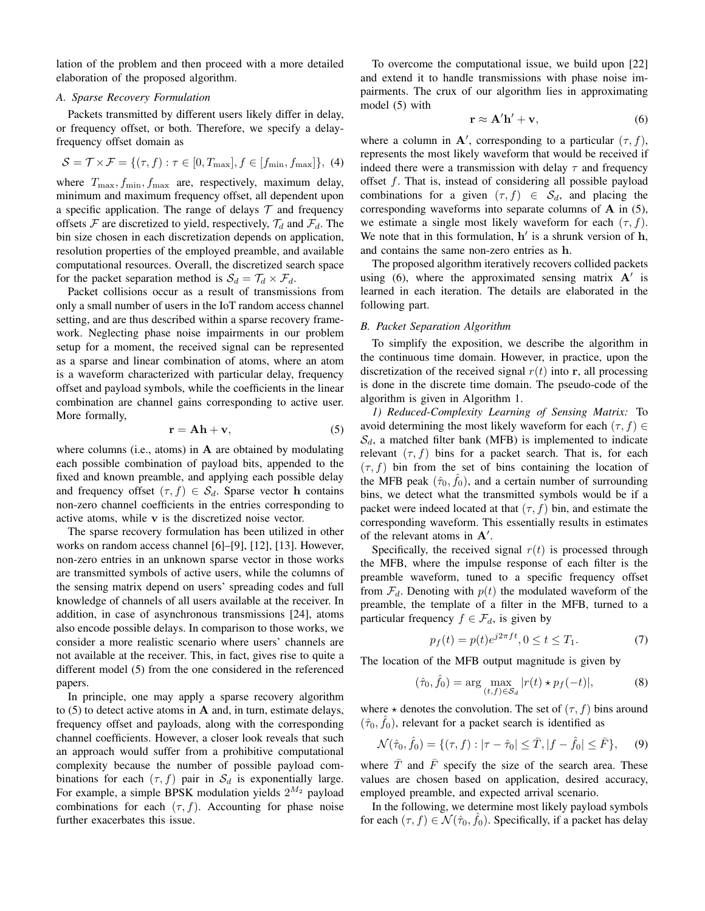lation of the problem and then proceed with a more detailed elaboration of the proposed algorithm.

# *A. Sparse Recovery Formulation*

Packets transmitted by different users likely differ in delay, or frequency offset, or both. Therefore, we specify a delayfrequency offset domain as

$$
\mathcal{S} = \mathcal{T} \times \mathcal{F} = \{ (\tau, f) : \tau \in [0, T_{\text{max}}], f \in [f_{\text{min}}, f_{\text{max}}] \}, (4)
$$

where  $T_{\text{max}}$ ,  $f_{\text{min}}$ ,  $f_{\text{max}}$  are, respectively, maximum delay, minimum and maximum frequency offset, all dependent upon a specific application. The range of delays  $T$  and frequency offsets  $\mathcal F$  are discretized to yield, respectively,  $\mathcal T_d$  and  $\mathcal F_d$ . The bin size chosen in each discretization depends on application, resolution properties of the employed preamble, and available computational resources. Overall, the discretized search space for the packet separation method is  $S_d = T_d \times F_d$ .

Packet collisions occur as a result of transmissions from only a small number of users in the IoT random access channel setting, and are thus described within a sparse recovery framework. Neglecting phase noise impairments in our problem setup for a moment, the received signal can be represented as a sparse and linear combination of atoms, where an atom is a waveform characterized with particular delay, frequency offset and payload symbols, while the coefficients in the linear combination are channel gains corresponding to active user. More formally,

$$
\mathbf{r} = \mathbf{A}\mathbf{h} + \mathbf{v},\tag{5}
$$

where columns (i.e., atoms) in  $A$  are obtained by modulating each possible combination of payload bits, appended to the fixed and known preamble, and applying each possible delay and frequency offset  $(\tau, f) \in S_d$ . Sparse vector h contains non-zero channel coefficients in the entries corresponding to active atoms, while v is the discretized noise vector.

The sparse recovery formulation has been utilized in other works on random access channel [6]–[9], [12], [13]. However, non-zero entries in an unknown sparse vector in those works are transmitted symbols of active users, while the columns of the sensing matrix depend on users' spreading codes and full knowledge of channels of all users available at the receiver. In addition, in case of asynchronous transmissions [24], atoms also encode possible delays. In comparison to those works, we consider a more realistic scenario where users' channels are not available at the receiver. This, in fact, gives rise to quite a different model (5) from the one considered in the referenced papers.

In principle, one may apply a sparse recovery algorithm to  $(5)$  to detect active atoms in **A** and, in turn, estimate delays, frequency offset and payloads, along with the corresponding channel coefficients. However, a closer look reveals that such an approach would suffer from a prohibitive computational complexity because the number of possible payload combinations for each  $(\tau, f)$  pair in  $\mathcal{S}_d$  is exponentially large. For example, a simple BPSK modulation yields  $2^{M_2}$  payload combinations for each  $(\tau, f)$ . Accounting for phase noise further exacerbates this issue.

To overcome the computational issue, we build upon [22] and extend it to handle transmissions with phase noise impairments. The crux of our algorithm lies in approximating model (5) with

$$
\mathbf{r} \approx \mathbf{A}' \mathbf{h}' + \mathbf{v},\tag{6}
$$

where a column in A', corresponding to a particular  $(\tau, f)$ , represents the most likely waveform that would be received if indeed there were a transmission with delay  $\tau$  and frequency offset  $f$ . That is, instead of considering all possible payload combinations for a given  $(\tau, f) \in S_d$ , and placing the corresponding waveforms into separate columns of A in (5), we estimate a single most likely waveform for each  $(\tau, f)$ . We note that in this formulation,  $h'$  is a shrunk version of  $h$ , and contains the same non-zero entries as h.

The proposed algorithm iteratively recovers collided packets using  $(6)$ , where the approximated sensing matrix  $A'$  is learned in each iteration. The details are elaborated in the following part.

#### *B. Packet Separation Algorithm*

To simplify the exposition, we describe the algorithm in the continuous time domain. However, in practice, upon the discretization of the received signal  $r(t)$  into r, all processing is done in the discrete time domain. The pseudo-code of the algorithm is given in Algorithm 1.

*1) Reduced-Complexity Learning of Sensing Matrix:* To avoid determining the most likely waveform for each  $(\tau, f) \in$  $S_d$ , a matched filter bank (MFB) is implemented to indicate relevant  $(\tau, f)$  bins for a packet search. That is, for each  $(\tau, f)$  bin from the set of bins containing the location of the MFB peak  $(\hat{\tau}_0, \hat{f}_0)$ , and a certain number of surrounding bins, we detect what the transmitted symbols would be if a packet were indeed located at that  $(\tau, f)$  bin, and estimate the corresponding waveform. This essentially results in estimates of the relevant atoms in  $A'$ .

Specifically, the received signal  $r(t)$  is processed through the MFB, where the impulse response of each filter is the preamble waveform, tuned to a specific frequency offset from  $\mathcal{F}_d$ . Denoting with  $p(t)$  the modulated waveform of the preamble, the template of a filter in the MFB, turned to a particular frequency  $f \in \mathcal{F}_d$ , is given by

$$
p_f(t) = p(t)e^{j2\pi ft}, 0 \le t \le T_1.
$$
 (7)

The location of the MFB output magnitude is given by

$$
(\hat{\tau}_0, \hat{f}_0) = \arg \max_{(t, f) \in \mathcal{S}_d} |r(t) \star p_f(-t)|,
$$
 (8)

where  $\star$  denotes the convolution. The set of  $(\tau, f)$  bins around  $(\hat{\tau}_0, \hat{f}_0)$ , relevant for a packet search is identified as

$$
\mathcal{N}(\hat{\tau}_0, \hat{f}_0) = \{(\tau, f) : |\tau - \hat{\tau}_0| \le \bar{T}, |f - \hat{f}_0| \le \bar{F}\},\qquad(9)
$$

where  $\overline{T}$  and  $\overline{F}$  specify the size of the search area. These values are chosen based on application, desired accuracy, employed preamble, and expected arrival scenario.

In the following, we determine most likely payload symbols for each  $(\tau, f) \in \mathcal{N}(\hat{\tau}_0, \hat{f}_0)$ . Specifically, if a packet has delay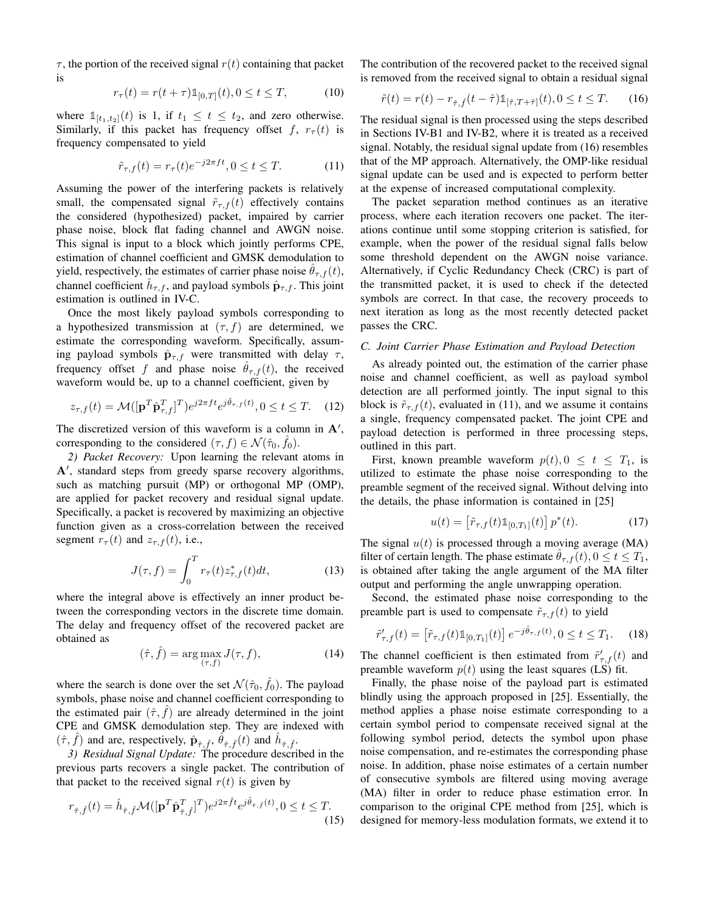$\tau$ , the portion of the received signal  $r(t)$  containing that packet is

$$
r_{\tau}(t) = r(t + \tau) \mathbb{1}_{[0,T]}(t), 0 \le t \le T,
$$
 (10)

where  $\mathbb{1}_{[t_1,t_2]}(t)$  is 1, if  $t_1 \leq t \leq t_2$ , and zero otherwise. Similarly, if this packet has frequency offset f,  $r_\tau(t)$  is frequency compensated to yield

$$
\tilde{r}_{\tau,f}(t) = r_{\tau}(t)e^{-j2\pi ft}, 0 \le t \le T.
$$
\n(11)

Assuming the power of the interfering packets is relatively small, the compensated signal  $\tilde{r}_{\tau,f}(t)$  effectively contains the considered (hypothesized) packet, impaired by carrier phase noise, block flat fading channel and AWGN noise. This signal is input to a block which jointly performs CPE, estimation of channel coefficient and GMSK demodulation to yield, respectively, the estimates of carrier phase noise  $\theta_{\tau,f}(t)$ , channel coefficient  $\hat{h}_{\tau,f}$ , and payload symbols  $\hat{\mathbf{p}}_{\tau,f}$ . This joint estimation is outlined in IV-C.

Once the most likely payload symbols corresponding to a hypothesized transmission at  $(\tau, f)$  are determined, we estimate the corresponding waveform. Specifically, assuming payload symbols  $\hat{\mathbf{p}}_{\tau,f}$  were transmitted with delay  $\tau$ , frequency offset f and phase noise  $\hat{\theta}_{\tau,f}(t)$ , the received waveform would be, up to a channel coefficient, given by

$$
z_{\tau,f}(t) = \mathcal{M}([\mathbf{p}^T \hat{\mathbf{p}}_{\tau,f}^T]^T) e^{j2\pi ft} e^{j\hat{\theta}_{\tau,f}(t)}, 0 \le t \le T. \tag{12}
$$

The discretized version of this waveform is a column in  $A'$ , corresponding to the considered  $(\tau, f) \in \mathcal{N}(\hat{\tau}_0, \hat{f}_0)$ .

*2) Packet Recovery:* Upon learning the relevant atoms in A', standard steps from greedy sparse recovery algorithms, such as matching pursuit (MP) or orthogonal MP (OMP), are applied for packet recovery and residual signal update. Specifically, a packet is recovered by maximizing an objective function given as a cross-correlation between the received segment  $r_{\tau}(t)$  and  $z_{\tau,f}(t)$ , i.e.,

$$
J(\tau, f) = \int_0^T r_\tau(t) z_{\tau, f}^*(t) dt,
$$
\n(13)

where the integral above is effectively an inner product between the corresponding vectors in the discrete time domain. The delay and frequency offset of the recovered packet are obtained as

$$
(\hat{\tau}, \hat{f}) = \arg\max_{(\tau, f)} J(\tau, f), \tag{14}
$$

where the search is done over the set  $\mathcal{N}(\hat{\tau}_0, \hat{f}_0)$ . The payload symbols, phase noise and channel coefficient corresponding to the estimated pair  $(\hat{\tau}, \hat{f})$  are already determined in the joint CPE and GMSK demodulation step. They are indexed with  $(\hat{\tau}, \hat{f})$  and are, respectively,  $\hat{\mathbf{p}}_{\hat{\tau}, \hat{f}}, \hat{\theta}_{\hat{\tau}, \hat{f}}(t)$  and  $\hat{h}_{\hat{\tau}, \hat{f}}$ .

*3) Residual Signal Update:* The procedure described in the previous parts recovers a single packet. The contribution of that packet to the received signal  $r(t)$  is given by

$$
r_{\hat{\tau},\hat{f}}(t) = \hat{h}_{\hat{\tau},\hat{f}} \mathcal{M}([\mathbf{p}^T \hat{\mathbf{p}}_{\hat{\tau},\hat{f}}^T]^T) e^{j2\pi \hat{f} t} e^{j\hat{\theta}_{\hat{\tau},\hat{f}}(t)}, 0 \le t \le T.
$$
\n(15)

The contribution of the recovered packet to the received signal is removed from the received signal to obtain a residual signal

$$
\tilde{r}(t) = r(t) - r_{\hat{\tau}, \hat{f}}(t - \hat{\tau}) \mathbb{1}_{[\hat{\tau}, T + \hat{\tau}]}(t), 0 \le t \le T. \tag{16}
$$

The residual signal is then processed using the steps described in Sections IV-B1 and IV-B2, where it is treated as a received signal. Notably, the residual signal update from (16) resembles that of the MP approach. Alternatively, the OMP-like residual signal update can be used and is expected to perform better at the expense of increased computational complexity.

The packet separation method continues as an iterative process, where each iteration recovers one packet. The iterations continue until some stopping criterion is satisfied, for example, when the power of the residual signal falls below some threshold dependent on the AWGN noise variance. Alternatively, if Cyclic Redundancy Check (CRC) is part of the transmitted packet, it is used to check if the detected symbols are correct. In that case, the recovery proceeds to next iteration as long as the most recently detected packet passes the CRC.

# *C. Joint Carrier Phase Estimation and Payload Detection*

As already pointed out, the estimation of the carrier phase noise and channel coefficient, as well as payload symbol detection are all performed jointly. The input signal to this block is  $\tilde{r}_{\tau,f}(t)$ , evaluated in (11), and we assume it contains a single, frequency compensated packet. The joint CPE and payload detection is performed in three processing steps, outlined in this part.

First, known preamble waveform  $p(t)$ ,  $0 \le t \le T_1$ , is utilized to estimate the phase noise corresponding to the preamble segment of the received signal. Without delving into the details, the phase information is contained in [25]

$$
u(t) = \left[\tilde{r}_{\tau,f}(t)\mathbb{1}_{[0,T_1]}(t)\right]p^*(t). \tag{17}
$$

The signal  $u(t)$  is processed through a moving average (MA) filter of certain length. The phase estimate  $\theta_{\tau,f}(t)$ ,  $0 \le t \le T_1$ , is obtained after taking the angle argument of the MA filter output and performing the angle unwrapping operation.

Second, the estimated phase noise corresponding to the preamble part is used to compensate  $\tilde{r}_{\tau,f}(t)$  to yield

$$
\tilde{r}'_{\tau,f}(t) = \left[ \tilde{r}_{\tau,f}(t) \mathbb{1}_{[0,T_1]}(t) \right] e^{-j\hat{\theta}_{\tau,f}(t)}, 0 \le t \le T_1. \tag{18}
$$

The channel coefficient is then estimated from  $\tilde{r}^{\prime}_{\tau,f}(t)$  and preamble waveform  $p(t)$  using the least squares (LS) fit.

Finally, the phase noise of the payload part is estimated blindly using the approach proposed in [25]. Essentially, the method applies a phase noise estimate corresponding to a certain symbol period to compensate received signal at the following symbol period, detects the symbol upon phase noise compensation, and re-estimates the corresponding phase noise. In addition, phase noise estimates of a certain number of consecutive symbols are filtered using moving average (MA) filter in order to reduce phase estimation error. In comparison to the original CPE method from [25], which is designed for memory-less modulation formats, we extend it to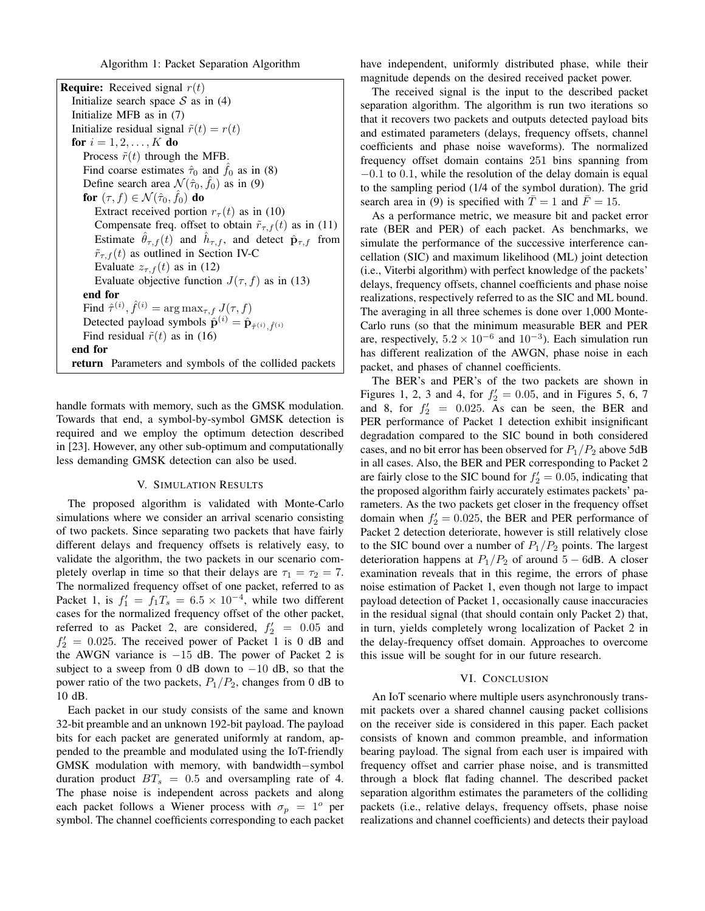Algorithm 1: Packet Separation Algorithm

| <b>Require:</b> Received signal $r(t)$                                                                   |
|----------------------------------------------------------------------------------------------------------|
| Initialize search space $S$ as in (4)                                                                    |
| Initialize MFB as in (7)                                                                                 |
| Initialize residual signal $\tilde{r}(t) = r(t)$                                                         |
| <b>for</b> $i = 1, 2, , K$ <b>do</b>                                                                     |
| Process $\tilde{r}(t)$ through the MFB.                                                                  |
| Find coarse estimates $\hat{\tau}_0$ and $\hat{f}_0$ as in (8)                                           |
| Define search area $\mathcal{N}(\hat{\tau}_0, \hat{f}_0)$ as in (9)                                      |
| for $(\tau, f) \in \mathcal{N}(\hat{\tau}_0, \hat{f}_0)$ do                                              |
| Extract received portion $r_{\tau}(t)$ as in (10)                                                        |
| Compensate freq. offset to obtain $\tilde{r}_{\tau,f}(t)$ as in (11)                                     |
| Estimate $\hat{\theta}_{\tau,f}(t)$ and $\hat{h}_{\tau,f}$ , and detect $\hat{\mathbf{p}}_{\tau,f}$ from |
| $\tilde{r}_{\tau,f}(t)$ as outlined in Section IV-C                                                      |
| Evaluate $z_{\tau,f}(t)$ as in (12)                                                                      |
| Evaluate objective function $J(\tau, f)$ as in (13)                                                      |
| end for                                                                                                  |
| Find $\hat{\tau}^{(i)}$ , $\hat{f}^{(i)} = \arg \max_{\tau, f} J(\tau, f)$                               |
| Detected payload symbols $\hat{\mathbf{p}}^{(i)} = \hat{\mathbf{p}}_{\hat{\tau}^{(i)}, \hat{f}^{(i)}}$   |
| Find residual $\tilde{r}(t)$ as in (16)                                                                  |
| end for                                                                                                  |
| <b>return</b> Parameters and symbols of the collided packets                                             |

handle formats with memory, such as the GMSK modulation. Towards that end, a symbol-by-symbol GMSK detection is required and we employ the optimum detection described in [23]. However, any other sub-optimum and computationally less demanding GMSK detection can also be used.

#### V. SIMULATION RESULTS

The proposed algorithm is validated with Monte-Carlo simulations where we consider an arrival scenario consisting of two packets. Since separating two packets that have fairly different delays and frequency offsets is relatively easy, to validate the algorithm, the two packets in our scenario completely overlap in time so that their delays are  $\tau_1 = \tau_2 = 7$ . The normalized frequency offset of one packet, referred to as Packet 1, is  $f_1' = f_1 T_s = 6.5 \times 10^{-4}$ , while two different cases for the normalized frequency offset of the other packet, referred to as Packet 2, are considered,  $f'_2 = 0.05$  and  $f'_2 = 0.025$ . The received power of Packet 1 is 0 dB and the AWGN variance is  $-15$  dB. The power of Packet 2 is subject to a sweep from 0 dB down to  $-10$  dB, so that the power ratio of the two packets,  $P_1/P_2$ , changes from 0 dB to 10 dB.

Each packet in our study consists of the same and known 32-bit preamble and an unknown 192-bit payload. The payload bits for each packet are generated uniformly at random, appended to the preamble and modulated using the IoT-friendly GMSK modulation with memory, with bandwidth−symbol duration product  $BT_s = 0.5$  and oversampling rate of 4. The phase noise is independent across packets and along each packet follows a Wiener process with  $\sigma_p = 1^{\circ}$  per symbol. The channel coefficients corresponding to each packet have independent, uniformly distributed phase, while their magnitude depends on the desired received packet power.

The received signal is the input to the described packet separation algorithm. The algorithm is run two iterations so that it recovers two packets and outputs detected payload bits and estimated parameters (delays, frequency offsets, channel coefficients and phase noise waveforms). The normalized frequency offset domain contains 251 bins spanning from −0.1 to 0.1, while the resolution of the delay domain is equal to the sampling period (1/4 of the symbol duration). The grid search area in (9) is specified with  $\overline{T} = 1$  and  $\overline{F} = 15$ .

As a performance metric, we measure bit and packet error rate (BER and PER) of each packet. As benchmarks, we simulate the performance of the successive interference cancellation (SIC) and maximum likelihood (ML) joint detection (i.e., Viterbi algorithm) with perfect knowledge of the packets' delays, frequency offsets, channel coefficients and phase noise realizations, respectively referred to as the SIC and ML bound. The averaging in all three schemes is done over 1,000 Monte-Carlo runs (so that the minimum measurable BER and PER are, respectively,  $5.2 \times 10^{-6}$  and  $10^{-3}$ ). Each simulation run has different realization of the AWGN, phase noise in each packet, and phases of channel coefficients.

The BER's and PER's of the two packets are shown in Figures 1, 2, 3 and 4, for  $f'_2 = 0.05$ , and in Figures 5, 6, 7 and 8, for  $f_2' = 0.025$ . As can be seen, the BER and PER performance of Packet 1 detection exhibit insignificant degradation compared to the SIC bound in both considered cases, and no bit error has been observed for  $P_1/P_2$  above 5dB in all cases. Also, the BER and PER corresponding to Packet 2 are fairly close to the SIC bound for  $f_2' = 0.05$ , indicating that the proposed algorithm fairly accurately estimates packets' parameters. As the two packets get closer in the frequency offset domain when  $f_2' = 0.025$ , the BER and PER performance of Packet 2 detection deteriorate, however is still relatively close to the SIC bound over a number of  $P_1/P_2$  points. The largest deterioration happens at  $P_1/P_2$  of around 5 – 6dB. A closer examination reveals that in this regime, the errors of phase noise estimation of Packet 1, even though not large to impact payload detection of Packet 1, occasionally cause inaccuracies in the residual signal (that should contain only Packet 2) that, in turn, yields completely wrong localization of Packet 2 in the delay-frequency offset domain. Approaches to overcome this issue will be sought for in our future research.

#### VI. CONCLUSION

An IoT scenario where multiple users asynchronously transmit packets over a shared channel causing packet collisions on the receiver side is considered in this paper. Each packet consists of known and common preamble, and information bearing payload. The signal from each user is impaired with frequency offset and carrier phase noise, and is transmitted through a block flat fading channel. The described packet separation algorithm estimates the parameters of the colliding packets (i.e., relative delays, frequency offsets, phase noise realizations and channel coefficients) and detects their payload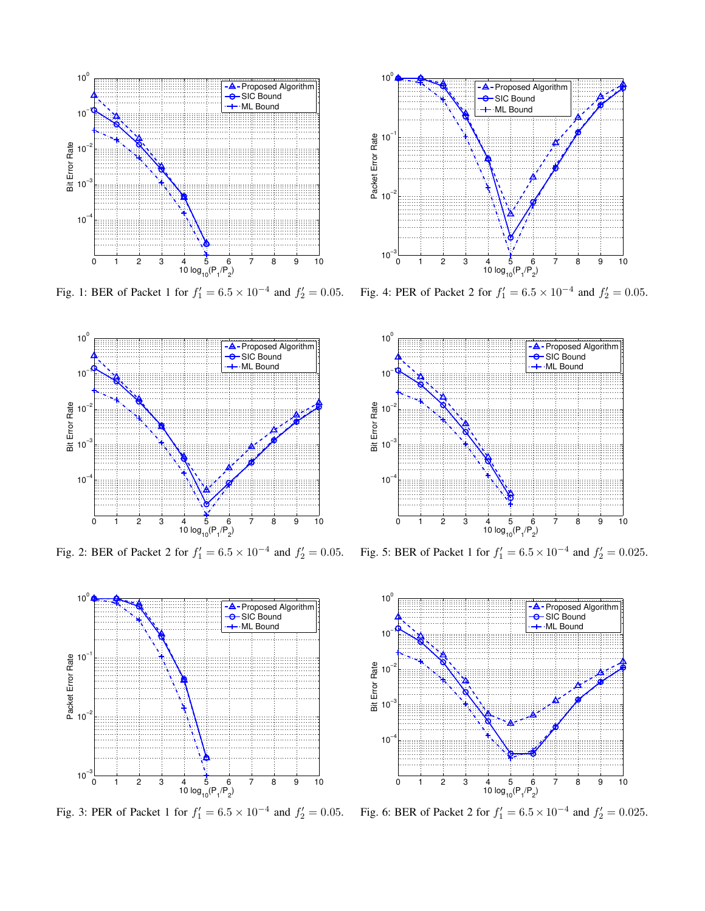

Fig. 1: BER of Packet 1 for  $f_1' = 6.5 \times 10^{-4}$  and  $f_2' = 0.05$ . Fig. 4: PER of Packet 2 for  $f_1' = 6.5 \times 10^{-4}$  and  $f_2' = 0.05$ .



Fig. 2: BER of Packet 2 for  $f_1' = 6.5 \times 10^{-4}$  and  $f_2' = 0.05$ .







Fig. 5: BER of Packet 1 for  $f_1' = 6.5 \times 10^{-4}$  and  $f_2' = 0.025$ .



Fig. 3: PER of Packet 1 for  $f_1' = 6.5 \times 10^{-4}$  and  $f_2' = 0.05$ . Fig. 6: BER of Packet 2 for  $f_1' = 6.5 \times 10^{-4}$  and  $f_2' = 0.025$ .